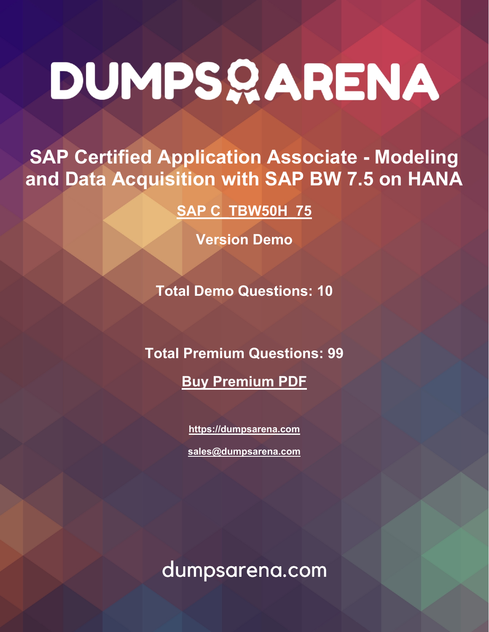# DUMPSQARENA

**SAP Certified Application Associate - Modeling and Data Acquisition with SAP BW 7.5 on HANA**

**[SAP C\\_TBW50H\\_75](https://dumpsarena.com/exam/c-tbw50h-75/)**

**Version Demo**

**Total Demo Questions: 10**

**Total Premium Questions: 99**

**[Buy Premium PDF](https://dumpsarena.com/exam/c-tbw50h-75/)**

**[https://dumpsarena.com](https://dumpsarena.com/) [sales@dumpsarena.com](mailto:sales@dumpsarena.com)**

dumpsarena.com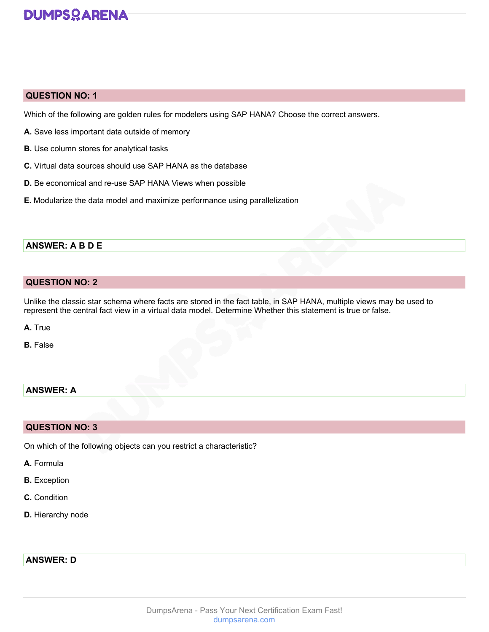## **DUMPSOARENA**

#### **QUESTION NO: 1**

Which of the following are golden rules for modelers using SAP HANA? Choose the correct answers.

- **A.** Save less important data outside of memory
- **B.** Use column stores for analytical tasks
- **C.** Virtual data sources should use SAP HANA as the database
- **D.** Be economical and re-use SAP HANA Views when possible
- **E.** Modularize the data model and maximize performance using parallelization

#### **ANSWER: A B D E**

#### **QUESTION NO: 2**

Unlike the classic star schema where facts are stored in the fact table, in SAP HANA, multiple views may be used to represent the central fact view in a virtual data model. Determine Whether this statement is true or false.

**A.** True

**B.** False

#### **ANSWER: A**

#### **QUESTION NO: 3**

On which of the following objects can you restrict a characteristic?

- **A.** Formula
- **B.** Exception
- **C.** Condition
- **D.** Hierarchy node

#### **ANSWER: D**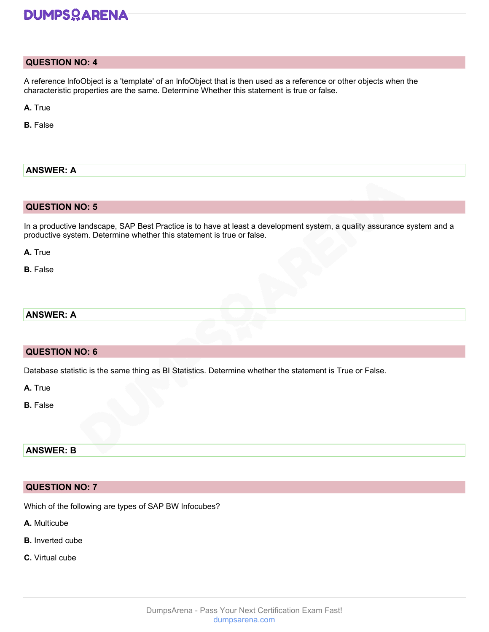## **DUMPSOARENA**

#### **QUESTION NO: 4**

A reference lnfoObject is a 'template' of an lnfoObject that is then used as a reference or other objects when the characteristic properties are the same. Determine Whether this statement is true or false.

**A.** True

**B.** False

#### **ANSWER: A**

#### **QUESTION NO: 5**

In a productive landscape, SAP Best Practice is to have at least a development system, a quality assurance system and a productive system. Determine whether this statement is true or false.

**A.** True

**B.** False

#### **ANSWER: A**

#### **QUESTION NO: 6**

Database statistic is the same thing as BI Statistics. Determine whether the statement is True or False.

**A.** True

**B.** False

## **ANSWER: B**

#### **QUESTION NO: 7**

Which of the following are types of SAP BW Infocubes?

**A.** Multicube

- **B.** Inverted cube
- **C.** Virtual cube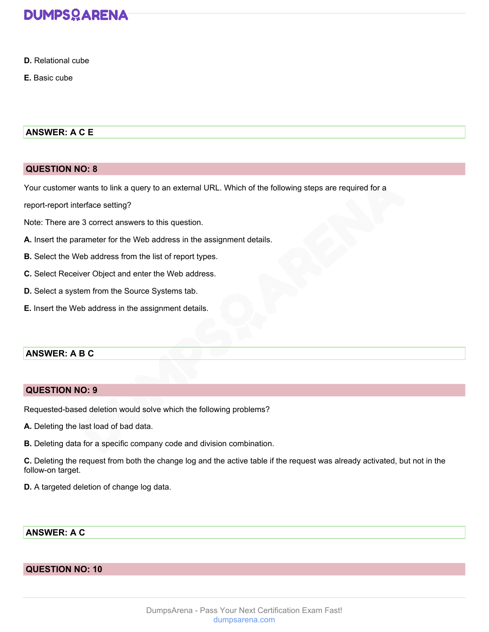

- **D.** Relational cube
- **E.** Basic cube

#### **ANSWER: A C E**

#### **QUESTION NO: 8**

Your customer wants to link a query to an external URL. Which of the following steps are required for a

report-report interface setting?

Note: There are 3 correct answers to this question.

- **A.** Insert the parameter for the Web address in the assignment details.
- **B.** Select the Web address from the list of report types.
- **C.** Select Receiver Object and enter the Web address.
- **D.** Select a system from the Source Systems tab.
- **E.** Insert the Web address in the assignment details.

#### **ANSWER: A B C**

#### **QUESTION NO: 9**

Requested-based deletion would solve which the following problems?

- **A.** Deleting the last load of bad data.
- **B.** Deleting data for a specific company code and division combination.

**C.** Deleting the request from both the change log and the active table if the request was already activated, but not in the follow-on target.

**D.** A targeted deletion of change log data.

#### **ANSWER: A C**

#### **QUESTION NO: 10**